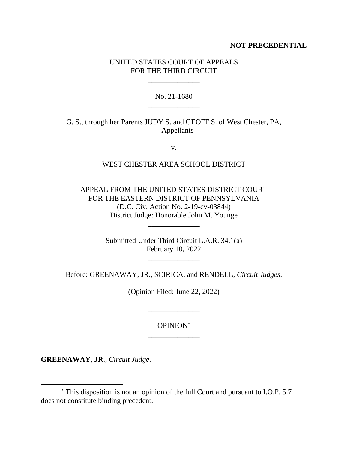# **NOT PRECEDENTIAL**

# UNITED STATES COURT OF APPEALS FOR THE THIRD CIRCUIT

\_\_\_\_\_\_\_\_\_\_\_\_\_\_

No. 21-1680 \_\_\_\_\_\_\_\_\_\_\_\_\_\_

G. S., through her Parents JUDY S. and GEOFF S. of West Chester, PA, Appellants

v.

# WEST CHESTER AREA SCHOOL DISTRICT \_\_\_\_\_\_\_\_\_\_\_\_\_\_

APPEAL FROM THE UNITED STATES DISTRICT COURT FOR THE EASTERN DISTRICT OF PENNSYLVANIA (D.C. Civ. Action No. 2-19-cv-03844) District Judge: Honorable John M. Younge

\_\_\_\_\_\_\_\_\_\_\_\_\_\_

Submitted Under Third Circuit L.A.R. 34.1(a) February 10, 2022

\_\_\_\_\_\_\_\_\_\_\_\_\_\_

Before: GREENAWAY, JR., SCIRICA, and RENDELL, *Circuit Judges*.

(Opinion Filed: June 22, 2022)

OPINION\* \_\_\_\_\_\_\_\_\_\_\_\_\_\_

\_\_\_\_\_\_\_\_\_\_\_\_\_\_

**GREENAWAY, JR**., *Circuit Judge*.

<sup>\*</sup> This disposition is not an opinion of the full Court and pursuant to I.O.P. 5.7 does not constitute binding precedent.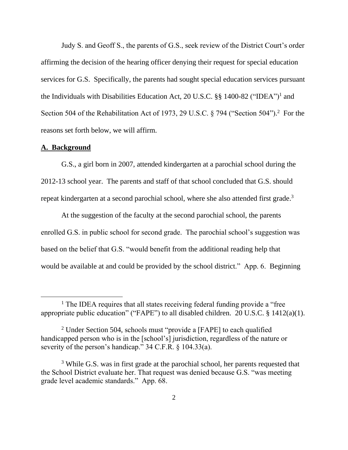Judy S. and Geoff S., the parents of G.S., seek review of the District Court's order affirming the decision of the hearing officer denying their request for special education services for G.S. Specifically, the parents had sought special education services pursuant the Individuals with Disabilities Education Act, 20 U.S.C. §§ 1400-82 ("IDEA")<sup>1</sup> and Section 504 of the Rehabilitation Act of 1973, 29 U.S.C. § 794 ("Section 504").<sup>2</sup> For the reasons set forth below, we will affirm.

### **A. Background**

G.S., a girl born in 2007, attended kindergarten at a parochial school during the 2012-13 school year. The parents and staff of that school concluded that G.S. should repeat kindergarten at a second parochial school, where she also attended first grade.<sup>3</sup>

At the suggestion of the faculty at the second parochial school, the parents enrolled G.S. in public school for second grade. The parochial school's suggestion was based on the belief that G.S. "would benefit from the additional reading help that would be available at and could be provided by the school district." App. 6. Beginning

<sup>&</sup>lt;sup>1</sup> The IDEA requires that all states receiving federal funding provide a "free" appropriate public education" ("FAPE") to all disabled children. 20 U.S.C. § 1412(a)(1).

<sup>&</sup>lt;sup>2</sup> Under Section 504, schools must "provide a [FAPE] to each qualified handicapped person who is in the [school's] jurisdiction, regardless of the nature or severity of the person's handicap." 34 C.F.R. § 104.33(a).

<sup>&</sup>lt;sup>3</sup> While G.S. was in first grade at the parochial school, her parents requested that the School District evaluate her. That request was denied because G.S. "was meeting grade level academic standards." App. 68.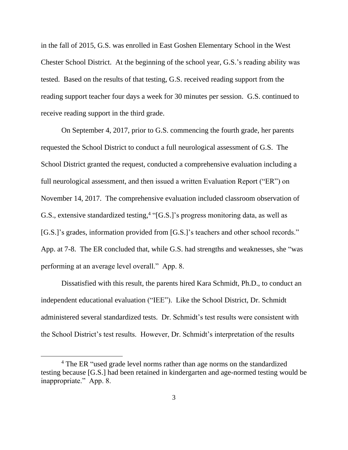in the fall of 2015, G.S. was enrolled in East Goshen Elementary School in the West Chester School District. At the beginning of the school year, G.S.'s reading ability was tested. Based on the results of that testing, G.S. received reading support from the reading support teacher four days a week for 30 minutes per session. G.S. continued to receive reading support in the third grade.

On September 4, 2017, prior to G.S. commencing the fourth grade, her parents requested the School District to conduct a full neurological assessment of G.S. The School District granted the request, conducted a comprehensive evaluation including a full neurological assessment, and then issued a written Evaluation Report ("ER") on November 14, 2017. The comprehensive evaluation included classroom observation of G.S., extensive standardized testing, 4 "[G.S.]'s progress monitoring data, as well as [G.S.]'s grades, information provided from [G.S.]'s teachers and other school records." App. at 7-8. The ER concluded that, while G.S. had strengths and weaknesses, she "was performing at an average level overall." App. 8.

Dissatisfied with this result, the parents hired Kara Schmidt, Ph.D., to conduct an independent educational evaluation ("IEE"). Like the School District, Dr. Schmidt administered several standardized tests. Dr. Schmidt's test results were consistent with the School District's test results. However, Dr. Schmidt's interpretation of the results

<sup>&</sup>lt;sup>4</sup> The ER "used grade level norms rather than age norms on the standardized testing because [G.S.] had been retained in kindergarten and age-normed testing would be inappropriate." App. 8.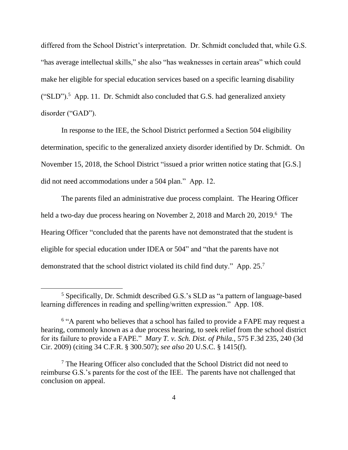differed from the School District's interpretation. Dr. Schmidt concluded that, while G.S. "has average intellectual skills," she also "has weaknesses in certain areas" which could make her eligible for special education services based on a specific learning disability  $("SLD")$ .<sup>5</sup> App. 11. Dr. Schmidt also concluded that G.S. had generalized anxiety disorder ("GAD").

In response to the IEE, the School District performed a Section 504 eligibility determination, specific to the generalized anxiety disorder identified by Dr. Schmidt. On November 15, 2018, the School District "issued a prior written notice stating that [G.S.] did not need accommodations under a 504 plan." App. 12.

The parents filed an administrative due process complaint. The Hearing Officer held a two-day due process hearing on November 2, 2018 and March 20, 2019.<sup>6</sup> The Hearing Officer "concluded that the parents have not demonstrated that the student is eligible for special education under IDEA or 504" and "that the parents have not demonstrated that the school district violated its child find duty." App. 25.<sup>7</sup>

<sup>5</sup> Specifically, Dr. Schmidt described G.S.'s SLD as "a pattern of language-based learning differences in reading and spelling/written expression." App. 108.

<sup>&</sup>lt;sup>6</sup> "A parent who believes that a school has failed to provide a FAPE may request a hearing, commonly known as a due process hearing, to seek relief from the school district for its failure to provide a FAPE." *Mary T. v. Sch. Dist. of Phila.*, 575 F.3d 235, 240 (3d Cir. 2009) (citing 34 C.F.R. § 300.507); *see also* 20 U.S.C. § 1415(f).

<sup>7</sup> The Hearing Officer also concluded that the School District did not need to reimburse G.S.'s parents for the cost of the IEE. The parents have not challenged that conclusion on appeal.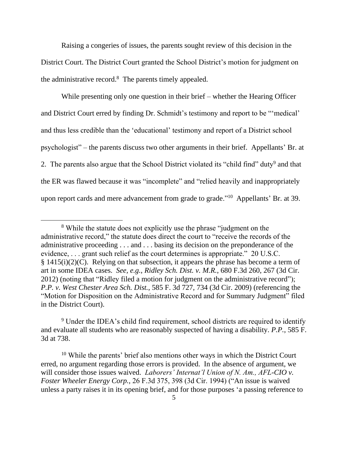Raising a congeries of issues, the parents sought review of this decision in the District Court. The District Court granted the School District's motion for judgment on the administrative record. 8 The parents timely appealed.

While presenting only one question in their brief – whether the Hearing Officer and District Court erred by finding Dr. Schmidt's testimony and report to be "'medical' and thus less credible than the 'educational' testimony and report of a District school psychologist" – the parents discuss two other arguments in their brief. Appellants' Br. at 2. The parents also argue that the School District violated its "child find" duty<sup>9</sup> and that the ER was flawed because it was "incomplete" and "relied heavily and inappropriately upon report cards and mere advancement from grade to grade."<sup>10</sup> Appellants' Br. at 39.

<sup>8</sup> While the statute does not explicitly use the phrase "judgment on the administrative record," the statute does direct the court to "receive the records of the administrative proceeding . . . and . . . basing its decision on the preponderance of the evidence, . . . grant such relief as the court determines is appropriate." 20 U.S.C. § 1415(i)(2)(C). Relying on that subsection, it appears the phrase has become a term of art in some IDEA cases. *See, e.g.*, *Ridley Sch. Dist. v. M.R.*, 680 F.3d 260, 267 (3d Cir. 2012) (noting that "Ridley filed a motion for judgment on the administrative record"); *P.P. v. West Chester Area Sch. Dist.*, 585 F. 3d 727, 734 (3d Cir. 2009) (referencing the "Motion for Disposition on the Administrative Record and for Summary Judgment" filed in the District Court).

<sup>&</sup>lt;sup>9</sup> Under the IDEA's child find requirement, school districts are required to identify and evaluate all students who are reasonably suspected of having a disability. *P.P.*, 585 F. 3d at 738.

<sup>&</sup>lt;sup>10</sup> While the parents' brief also mentions other ways in which the District Court erred, no argument regarding those errors is provided. In the absence of argument, we will consider those issues waived. *Laborers' Internat'l Union of N. Am., AFL-CIO v. Foster Wheeler Energy Corp.*, 26 F.3d 375, 398 (3d Cir. 1994) ("An issue is waived unless a party raises it in its opening brief, and for those purposes 'a passing reference to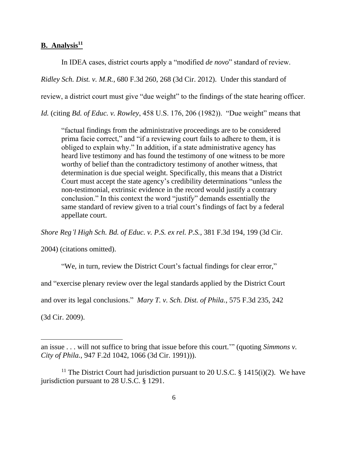### **B. Analysis<sup>11</sup>**

In IDEA cases, district courts apply a "modified *de novo*" standard of review.

*Ridley Sch. Dist. v. M.R.*, 680 F.3d 260, 268 (3d Cir. 2012). Under this standard of

review, a district court must give "due weight" to the findings of the state hearing officer.

*Id.* (citing *Bd. of Educ. v. Rowley*, 458 U.S. 176, 206 (1982)). "Due weight" means that

"factual findings from the administrative proceedings are to be considered prima facie correct," and "if a reviewing court fails to adhere to them, it is obliged to explain why." In addition, if a state administrative agency has heard live testimony and has found the testimony of one witness to be more worthy of belief than the contradictory testimony of another witness, that determination is due special weight. Specifically, this means that a District Court must accept the state agency's credibility determinations "unless the non-testimonial, extrinsic evidence in the record would justify a contrary conclusion." In this context the word "justify" demands essentially the same standard of review given to a trial court's findings of fact by a federal appellate court.

*Shore Reg'l High Sch. Bd. of Educ. v. P.S. ex rel. P.S.*, 381 F.3d 194, 199 (3d Cir.

2004) (citations omitted).

"We, in turn, review the District Court's factual findings for clear error," and "exercise plenary review over the legal standards applied by the District Court and over its legal conclusions." *Mary T. v. Sch. Dist. of Phila.*, 575 F.3d 235, 242 (3d Cir. 2009).

an issue . . . will not suffice to bring that issue before this court.'" (quoting *Simmons v. City of Phila.*, 947 F.2d 1042, 1066 (3d Cir. 1991))).

<sup>&</sup>lt;sup>11</sup> The District Court had jurisdiction pursuant to 20 U.S.C. § 1415(i)(2). We have jurisdiction pursuant to 28 U.S.C. § 1291.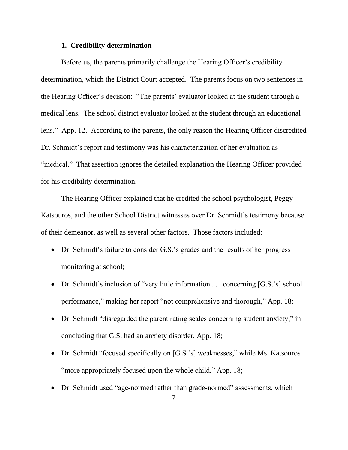### **1. Credibility determination**

Before us, the parents primarily challenge the Hearing Officer's credibility determination, which the District Court accepted. The parents focus on two sentences in the Hearing Officer's decision: "The parents' evaluator looked at the student through a medical lens. The school district evaluator looked at the student through an educational lens." App. 12. According to the parents, the only reason the Hearing Officer discredited Dr. Schmidt's report and testimony was his characterization of her evaluation as "medical." That assertion ignores the detailed explanation the Hearing Officer provided for his credibility determination.

The Hearing Officer explained that he credited the school psychologist, Peggy Katsouros, and the other School District witnesses over Dr. Schmidt's testimony because of their demeanor, as well as several other factors. Those factors included:

- Dr. Schmidt's failure to consider G.S.'s grades and the results of her progress monitoring at school;
- Dr. Schmidt's inclusion of "very little information . . . concerning [G.S.'s] school performance," making her report "not comprehensive and thorough," App. 18;
- Dr. Schmidt "disregarded the parent rating scales concerning student anxiety," in concluding that G.S. had an anxiety disorder, App. 18;
- Dr. Schmidt "focused specifically on [G.S.'s] weaknesses," while Ms. Katsouros "more appropriately focused upon the whole child," App. 18;
- Dr. Schmidt used "age-normed rather than grade-normed" assessments, which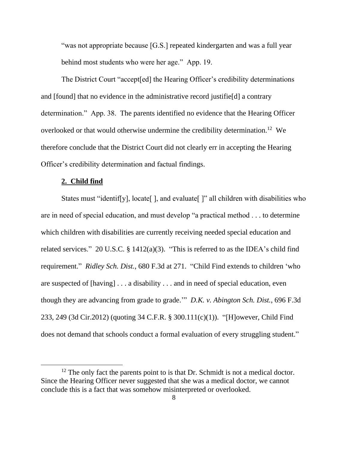"was not appropriate because [G.S.] repeated kindergarten and was a full year behind most students who were her age." App. 19.

The District Court "accept[ed] the Hearing Officer's credibility determinations and [found] that no evidence in the administrative record justifie[d] a contrary determination." App. 38. The parents identified no evidence that the Hearing Officer overlooked or that would otherwise undermine the credibility determination.<sup>12</sup> We therefore conclude that the District Court did not clearly err in accepting the Hearing Officer's credibility determination and factual findings.

### **2. Child find**

States must "identif[y], locate[], and evaluate[]" all children with disabilities who are in need of special education, and must develop "a practical method . . . to determine which children with disabilities are currently receiving needed special education and related services." 20 U.S.C.  $\S$  1412(a)(3). "This is referred to as the IDEA's child find requirement." *Ridley Sch. Dist.*, 680 F.3d at 271. "Child Find extends to children 'who are suspected of [having] . . . a disability . . . and in need of special education, even though they are advancing from grade to grade.'" *D.K. v. Abington Sch. Dist.*, 696 F.3d 233, 249 (3d Cir.2012) (quoting 34 C.F.R. § 300.111(c)(1)). "[H]owever, Child Find does not demand that schools conduct a formal evaluation of every struggling student."

 $12$  The only fact the parents point to is that Dr. Schmidt is not a medical doctor. Since the Hearing Officer never suggested that she was a medical doctor, we cannot conclude this is a fact that was somehow misinterpreted or overlooked.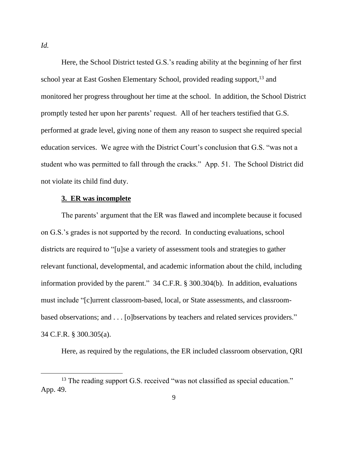Here, the School District tested G.S.'s reading ability at the beginning of her first school year at East Goshen Elementary School, provided reading support,<sup>13</sup> and monitored her progress throughout her time at the school. In addition, the School District promptly tested her upon her parents' request. All of her teachers testified that G.S. performed at grade level, giving none of them any reason to suspect she required special education services. We agree with the District Court's conclusion that G.S. "was not a student who was permitted to fall through the cracks." App. 51. The School District did not violate its child find duty.

### **3. ER was incomplete**

The parents' argument that the ER was flawed and incomplete because it focused on G.S.'s grades is not supported by the record. In conducting evaluations, school districts are required to "[u]se a variety of assessment tools and strategies to gather relevant functional, developmental, and academic information about the child, including information provided by the parent." 34 C.F.R. § 300.304(b). In addition, evaluations must include "[c]urrent classroom-based, local, or State assessments, and classroombased observations; and . . . [o]bservations by teachers and related services providers." 34 C.F.R. § 300.305(a).

Here, as required by the regulations, the ER included classroom observation, QRI

*Id.*

<sup>&</sup>lt;sup>13</sup> The reading support G.S. received "was not classified as special education." App. 49.